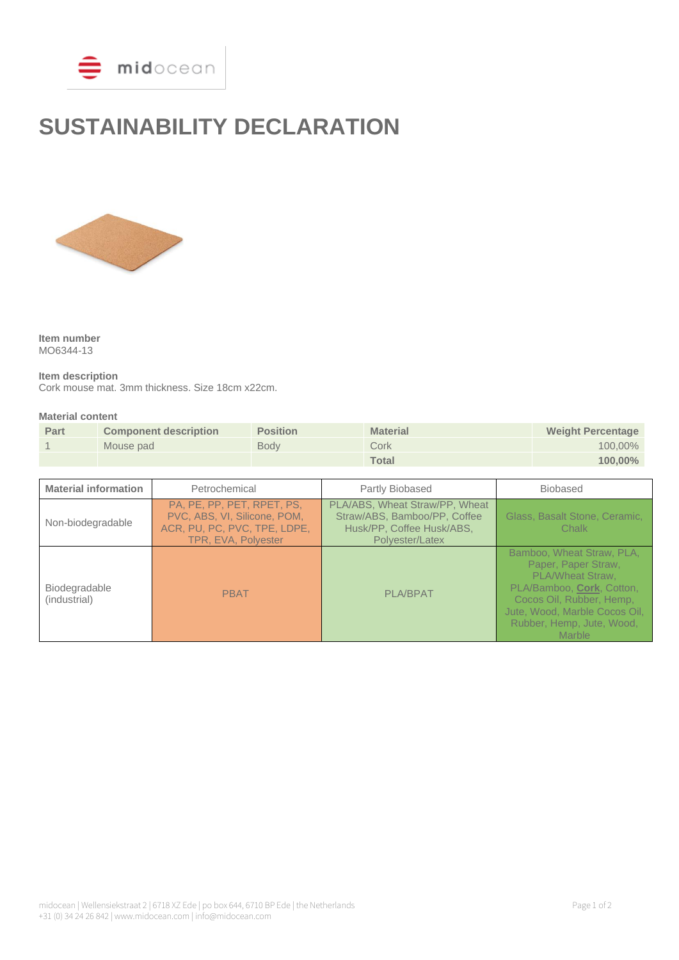

# **SUSTAINABILITY DECLARATION**



**Item number** MO6344-13

**Item description** Cork mouse mat. 3mm thickness. Size 18cm x22cm.

#### **Material content**

| Part | <b>Component description</b> | <b>Position</b> | <b>Material</b> | <b>Weight Percentage</b> |
|------|------------------------------|-----------------|-----------------|--------------------------|
|      | Mouse pad                    | <b>Body</b>     | Cork            | $100,00\%$               |
|      |                              |                 | <b>Total</b>    | $100,00\%$               |

| <b>Material information</b>          | Petrochemical                                                                                                     | Partly Biobased                                                                                                | <b>Biobased</b>                                                                                                                                                                                                     |
|--------------------------------------|-------------------------------------------------------------------------------------------------------------------|----------------------------------------------------------------------------------------------------------------|---------------------------------------------------------------------------------------------------------------------------------------------------------------------------------------------------------------------|
| Non-biodegradable                    | PA, PE, PP, PET, RPET, PS,<br>PVC, ABS, VI, Silicone, POM,<br>ACR, PU, PC, PVC, TPE, LDPE,<br>TPR, EVA, Polyester | PLA/ABS, Wheat Straw/PP, Wheat<br>Straw/ABS, Bamboo/PP, Coffee<br>Husk/PP, Coffee Husk/ABS,<br>Polyester/Latex | Glass, Basalt Stone, Ceramic,<br>Chalk                                                                                                                                                                              |
| <b>Biodegradable</b><br>(industrial) | <b>PBAT</b>                                                                                                       | <b>PLA/BPAT</b>                                                                                                | Bamboo, Wheat Straw, PLA,<br>Paper, Paper Straw,<br><b>PLA/Wheat Straw.</b><br>PLA/Bamboo, Cork, Cotton,<br>Cocos Oil, Rubber, Hemp,<br>Jute, Wood, Marble Cocos Oil,<br>Rubber, Hemp, Jute, Wood,<br><b>Marble</b> |